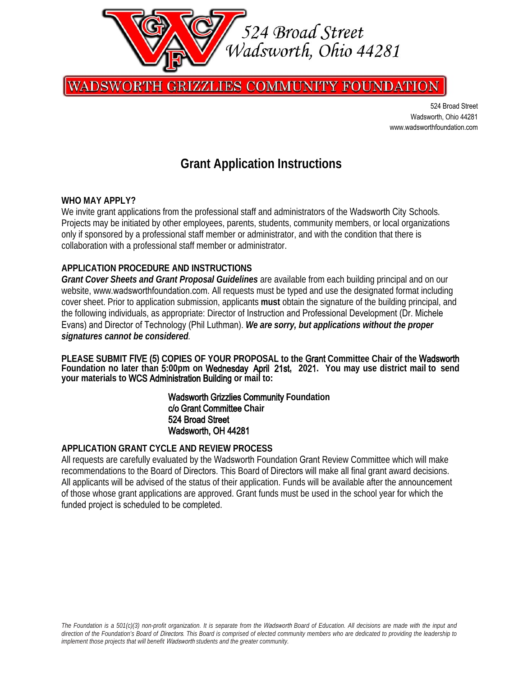

**GRIZZLIES COMMUNITY FOUNDATION** WADSWORTH

> 524 Broad Street Wadsworth, Ohio 44281 www.[wadsworthfoundatio](http://www.highlandfoundation.org/)[n.com](https://www.wadsworthfoundation.com/)

## **Grant Application Instructions**

#### **WHO MAY APPLY?**

We invite grant applications from the professional staff and administrators of the Wadsworth City Schools. Projects may be initiated by other employees, parents, students, community members, or local organizations only if sponsored by a professional staff member or administrator, and with the condition that there is collaboration with a professional staff member or administrator.

#### **APPLICATION PROCEDURE AND INSTRUCTIONS**

*Grant Cover Sheets and Grant Proposal Guidelines* are available from each building principal and on our website, www.[wadsworthfoundation.com](https://www.wadsworthfoundation.com/). All requests must be typed and use the designated format including cover sheet. Prior to application submission, applicants **must** obtain the signature of the building principal, and the following individuals, as appropriate: Director of Instruction and Professional Development (Dr. Michele Evans) and Director of Technology (Phil Luthman). *We are sorry, but applications without the proper signatures cannot be considered.* 

**PLEASE SUBMIT** FIVE **(**5**) COPIES OF YOUR PROPOSAL to the** Grant **Committee Chair of the** Wadsworth **Foundation no later than** 5**:00pm on** Wednesday April 21st**, 20**21**. You may use district mail to send your materials to** WCS Administration Building **or mail to:** 

> Wadsworth Grizzlies Community **Foundation** c/o Grant Committee **Chair**  524 Broad Street Wadsworth, OH 44281

#### **APPLICATION GRANT CYCLE AND REVIEW PROCESS**

All requests are carefully evaluated by the Wadsworth Foundation Grant Review Committee which will make recommendations to the Board of Directors. This Board of Directors will make all final grant award decisions. All applicants will be advised of the status of their application. Funds will be available after the announcement of those whose grant applications are approved. Grant funds must be used in the school year for which the funded project is scheduled to be completed.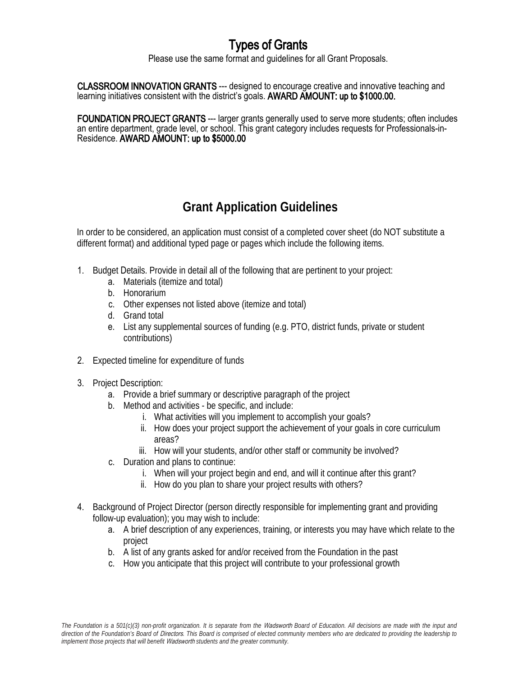# Types of Grants

Please use the same format and guidelines for all Grant Proposals.

CLASSROOM INNOVATION GRANTS --- designed to encourage creative and innovative teaching and learning initiatives consistent with the district's goals. AWARD AMOUNT: up to \$1000.00.

FOUNDATION PROJECT GRANTS --- larger grants generally used to serve more students; often includes an entire department, grade level, or school. This grant category includes requests for Professionals-in-Residence. AWARD AMOUNT: up to \$5000.00

# **Grant Application Guidelines**

In order to be considered, an application must consist of a completed cover sheet (do NOT substitute a different format) and additional typed page or pages which include the following items.

- 1. Budget Details. Provide in detail all of the following that are pertinent to your project:
	- a. Materials (itemize and total)
	- b. Honorarium
	- c. Other expenses not listed above (itemize and total)
	- d. Grand total
	- e. List any supplemental sources of funding (e.g. PTO, district funds, private or student contributions)
- 2. Expected timeline for expenditure of funds
- 3. Project Description:
	- a. Provide a brief summary or descriptive paragraph of the project
	- b. Method and activities be specific, and include:
		- i. What activities will you implement to accomplish your goals?
		- ii. How does your project support the achievement of your goals in core curriculum areas?
		- iii. How will your students, and/or other staff or community be involved?
	- c. Duration and plans to continue:
		- i. When will your project begin and end, and will it continue after this grant?
		- ii. How do you plan to share your project results with others?
- 4. Background of Project Director (person directly responsible for implementing grant and providing follow-up evaluation); you may wish to include:
	- a. A brief description of any experiences, training, or interests you may have which relate to the project
	- b. A list of any grants asked for and/or received from the Foundation in the past
	- c. How you anticipate that this project will contribute to your professional growth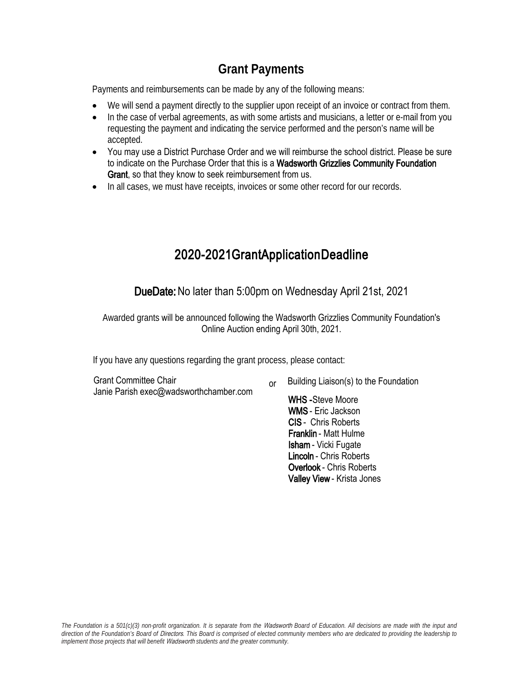## **Grant Payments**

Payments and reimbursements can be made by any of the following means:

- We will send a payment directly to the supplier upon receipt of an invoice or contract from them.
- In the case of verbal agreements, as with some artists and musicians, a letter or e-mail from you requesting the payment and indicating the service performed and the person's name will be accepted.
- You may use a District Purchase Order and we will reimburse the school district. Please be sure to indicate on the Purchase Order that this is a Wadsworth Grizzlies Community Foundation Grant, so that they know to seek reimbursement from us.
- In all cases, we must have receipts, invoices or some other record for our records.

## 2020-2021GrantApplicationDeadline

DueDate: No later than 5:00pm on Wednesday April 21st, 2021

Awarded grants will be announced following the Wadsworth Grizzlies Community Foundation's Online Auction ending April 30th, 2021.

If you have any questions regarding the grant process, please contact:

Grant Committee Chair Janie Parish exec@wadsworthchamber.com

Building Liaison(s) to the Foundation or

> WHS-Steve Moore WMS - Eric Jackson CIS - Chris Roberts Franklin - Matt Hulme Isham - Vicki Fugate Lincoln - Chris Roberts Overlook - Chris Roberts Valley View - Krista Jones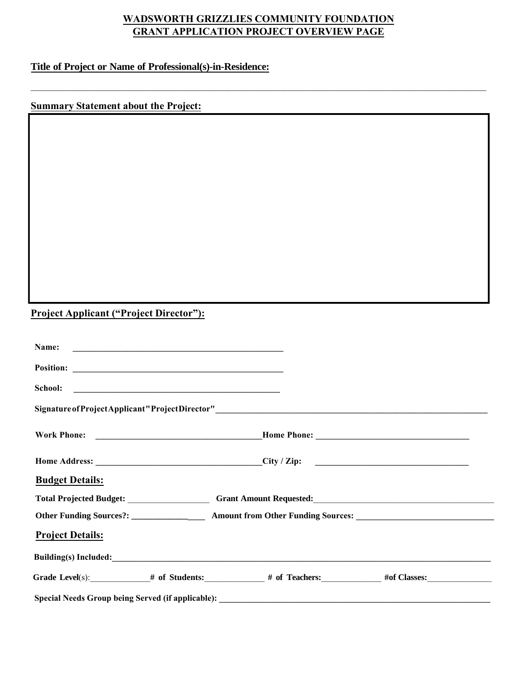### **WADSWORTH GRIZZLIES COMMUNITY FOUNDATION GRANT APPLICATION PROJECT OVERVIEW PAGE**

 $\_$  , and the set of the set of the set of the set of the set of the set of the set of the set of the set of the set of the set of the set of the set of the set of the set of the set of the set of the set of the set of th

### **Title of Project or Name of Professional(s)-in-Residence:**

### **Summary Statement about the Project:**

## **Project Applicant ("Project Director"):**

| <b>Project Details:</b> |                                                                                                                |  |
|-------------------------|----------------------------------------------------------------------------------------------------------------|--|
|                         | Other Funding Sources?: _________________ Amount from Other Funding Sources: _________________________________ |  |
|                         |                                                                                                                |  |
| <b>Budget Details:</b>  |                                                                                                                |  |
|                         |                                                                                                                |  |
|                         |                                                                                                                |  |
|                         |                                                                                                                |  |
|                         |                                                                                                                |  |
|                         |                                                                                                                |  |
| Name:                   |                                                                                                                |  |